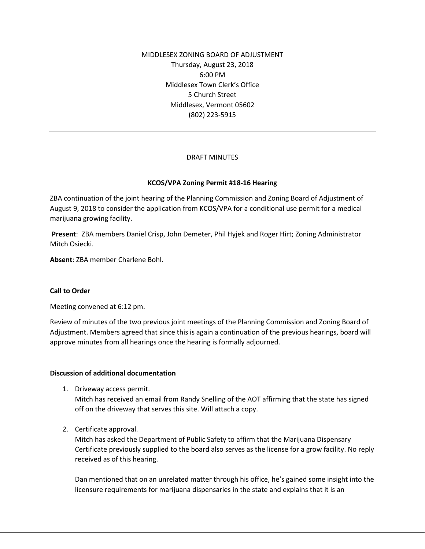MIDDLESEX ZONING BOARD OF ADJUSTMENT Thursday, August 23, 2018 6:00 PM Middlesex Town Clerk's Office 5 Church Street Middlesex, Vermont 05602 (802) 223-5915

## DRAFT MINUTES

## **KCOS/VPA Zoning Permit #18-16 Hearing**

ZBA continuation of the joint hearing of the Planning Commission and Zoning Board of Adjustment of August 9, 2018 to consider the application from KCOS/VPA for a conditional use permit for a medical marijuana growing facility.

**Present**: ZBA members Daniel Crisp, John Demeter, Phil Hyjek and Roger Hirt; Zoning Administrator Mitch Osiecki.

**Absent**: ZBA member Charlene Bohl.

### **Call to Order**

Meeting convened at 6:12 pm.

Review of minutes of the two previous joint meetings of the Planning Commission and Zoning Board of Adjustment. Members agreed that since this is again a continuation of the previous hearings, board will approve minutes from all hearings once the hearing is formally adjourned.

### **Discussion of additional documentation**

1. Driveway access permit.

Mitch has received an email from Randy Snelling of the AOT affirming that the state has signed off on the driveway that serves this site. Will attach a copy.

2. Certificate approval.

Mitch has asked the Department of Public Safety to affirm that the Marijuana Dispensary Certificate previously supplied to the board also serves as the license for a grow facility. No reply received as of this hearing.

Dan mentioned that on an unrelated matter through his office, he's gained some insight into the licensure requirements for marijuana dispensaries in the state and explains that it is an